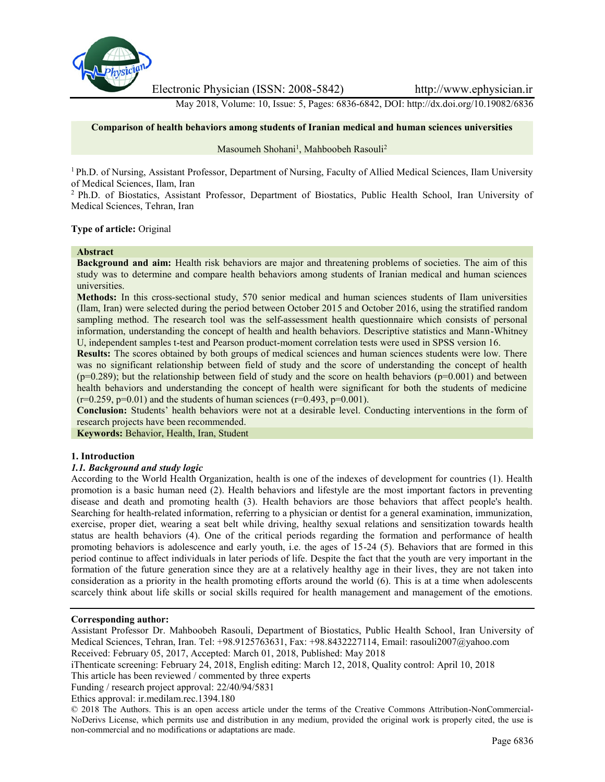

Electronic Physician (ISSN: 2008-5842) http://www.ephysician.ir

May 2018, Volume: 10, Issue: 5, Pages: 6836-6842, DOI: http://dx.doi.org/10.19082/6836

## **Comparison of health behaviors among students of Iranian medical and human sciences universities**

## Masoumeh Shohani<sup>1</sup>, Mahboobeh Rasouli<sup>2</sup>

<sup>1</sup> Ph.D. of Nursing, Assistant Professor, Department of Nursing, Faculty of Allied Medical Sciences, Ilam University of Medical Sciences, Ilam, Iran

<sup>2</sup> Ph.D. of Biostatics, Assistant Professor, Department of Biostatics, Public Health School, Iran University of Medical Sciences, Tehran, Iran

#### **Type of article:** Original

#### **Abstract**

**Background and aim:** Health risk behaviors are major and threatening problems of societies. The aim of this study was to determine and compare health behaviors among students of Iranian medical and human sciences universities.

**Methods:** In this cross-sectional study, 570 senior medical and human sciences students of Ilam universities (Ilam, Iran) were selected during the period between October 2015 and October 2016, using the stratified random sampling method. The research tool was the self-assessment health questionnaire which consists of personal information, understanding the concept of health and health behaviors. Descriptive statistics and Mann-Whitney U, independent samples t-test and Pearson product-moment correlation tests were used in SPSS version 16.

**Results:** The scores obtained by both groups of medical sciences and human sciences students were low. There was no significant relationship between field of study and the score of understanding the concept of health  $(p=0.289)$ ; but the relationship between field of study and the score on health behaviors  $(p=0.001)$  and between health behaviors and understanding the concept of health were significant for both the students of medicine  $(r=0.259, p=0.01)$  and the students of human sciences  $(r=0.493, p=0.001)$ .

**Conclusion:** Students' health behaviors were not at a desirable level. Conducting interventions in the form of research projects have been recommended.

**Keywords:** Behavior, Health, Iran, Student

## **1. Introduction**

## *1.1. Background and study logic*

According to the World Health Organization, health is one of the indexes of development for countries (1). Health promotion is a basic human need (2). Health behaviors and lifestyle are the most important factors in preventing disease and death and promoting health (3). Health behaviors are those behaviors that affect people's health. Searching for health-related information, referring to a physician or dentist for a general examination, immunization, exercise, proper diet, wearing a seat belt while driving, healthy sexual relations and sensitization towards health status are health behaviors (4). One of the critical periods regarding the formation and performance of health promoting behaviors is adolescence and early youth, i.e. the ages of 15-24 (5). Behaviors that are formed in this period continue to affect individuals in later periods of life. Despite the fact that the youth are very important in the formation of the future generation since they are at a relatively healthy age in their lives, they are not taken into consideration as a priority in the health promoting efforts around the world (6). This is at a time when adolescents scarcely think about life skills or social skills required for health management and management of the emotions.

#### **Corresponding author:**

Assistant Professor Dr. Mahboobeh Rasouli, Department of Biostatics, Public Health School, Iran University of Medical Sciences, Tehran, Iran. Tel: +98.9125763631, Fax: +98.8432227114, Email: rasouli2007@yahoo.com Received: February 05, 2017, Accepted: March 01, 2018, Published: May 2018

iThenticate screening: February 24, 2018, English editing: March 12, 2018, Quality control: April 10, 2018

This article has been reviewed / commented by three experts

Funding / research project approval: 22/40/94/5831

Ethics approval: ir.medilam.rec.1394.180

© 2018 The Authors. This is an open access article under the terms of the Creative Commons Attribution-NonCommercial- NoDerivs License, which permits use and distribution in any medium, provided the original work is properly cited, the use is non-commercial and no modifications or adaptations are made.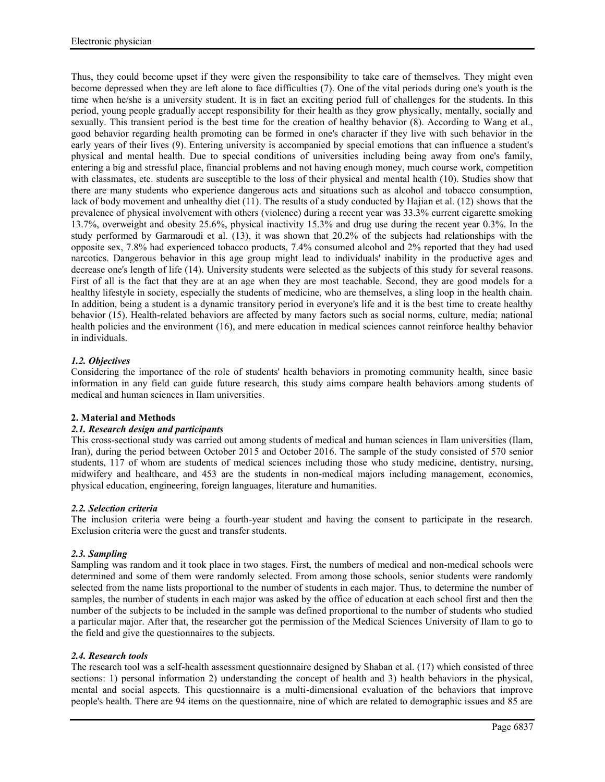Thus, they could become upset if they were given the responsibility to take care of themselves. They might even become depressed when they are left alone to face difficulties (7). One of the vital periods during one's youth is the time when he/she is a university student. It is in fact an exciting period full of challenges for the students. In this period, young people gradually accept responsibility for their health as they grow physically, mentally, socially and sexually. This transient period is the best time for the creation of healthy behavior (8). According to Wang et al., good behavior regarding health promoting can be formed in one's character if they live with such behavior in the early years of their lives (9). Entering university is accompanied by special emotions that can influence a student's physical and mental health. Due to special conditions of universities including being away from one's family, entering a big and stressful place, financial problems and not having enough money, much course work, competition with classmates, etc. students are susceptible to the loss of their physical and mental health (10). Studies show that there are many students who experience dangerous acts and situations such as alcohol and tobacco consumption, lack of body movement and unhealthy diet (11). The results of a study conducted by Hajian et al. (12) shows that the prevalence of physical involvement with others (violence) during a recent year was 33.3% current cigarette smoking 13.7%, overweight and obesity 25.6%, physical inactivity 15.3% and drug use during the recent year 0.3%. In the study performed by Garmaroudi et al. (13), it was shown that 20.2% of the subjects had relationships with the opposite sex, 7.8% had experienced tobacco products, 7.4% consumed alcohol and 2% reported that they had used narcotics. Dangerous behavior in this age group might lead to individuals' inability in the productive ages and decrease one's length of life (14). University students were selected as the subjects of this study for several reasons. First of all is the fact that they are at an age when they are most teachable. Second, they are good models for a healthy lifestyle in society, especially the students of medicine, who are themselves, a sling loop in the health chain. In addition, being a student is a dynamic transitory period in everyone's life and it is the best time to create healthy behavior (15). Health-related behaviors are affected by many factors such as social norms, culture, media; national health policies and the environment (16), and mere education in medical sciences cannot reinforce healthy behavior in individuals.

# *1.2. Objectives*

Considering the importance of the role of students' health behaviors in promoting community health, since basic information in any field can guide future research, this study aims compare health behaviors among students of medical and human sciences in Ilam universities.

## **2. Material and Methods**

## *2.1. Research design and participants*

This cross-sectional study was carried out among students of medical and human sciences in Ilam universities (Ilam, Iran), during the period between October 2015 and October 2016. The sample of the study consisted of 570 senior students, 117 of whom are students of medical sciences including those who study medicine, dentistry, nursing, midwifery and healthcare, and 453 are the students in non-medical majors including management, economics, physical education, engineering, foreign languages, literature and humanities.

## *2.2. Selection criteria*

The inclusion criteria were being a fourth-year student and having the consent to participate in the research. Exclusion criteria were the guest and transfer students.

## *2.3. Sampling*

Sampling was random and it took place in two stages. First, the numbers of medical and non-medical schools were determined and some of them were randomly selected. From among those schools, senior students were randomly selected from the name lists proportional to the number of students in each major. Thus, to determine the number of samples, the number of students in each major was asked by the office of education at each school first and then the number of the subjects to be included in the sample was defined proportional to the number of students who studied a particular major. After that, the researcher got the permission of the Medical Sciences University of Ilam to go to the field and give the questionnaires to the subjects.

#### *2.4. Research tools*

The research tool was a self-health assessment questionnaire designed by Shaban et al. (17) which consisted of three sections: 1) personal information 2) understanding the concept of health and 3) health behaviors in the physical, mental and social aspects. This questionnaire is a multi-dimensional evaluation of the behaviors that improve people's health. There are 94 items on the questionnaire, nine of which are related to demographic issues and 85 are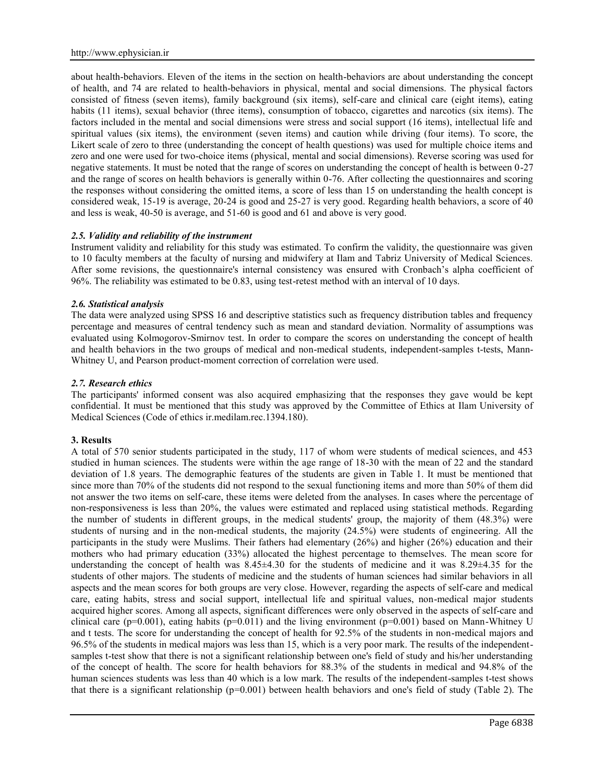about health-behaviors. Eleven of the items in the section on health-behaviors are about understanding the concept of health, and 74 are related to health-behaviors in physical, mental and social dimensions. The physical factors consisted of fitness (seven items), family background (six items), self-care and clinical care (eight items), eating habits (11 items), sexual behavior (three items), consumption of tobacco, cigarettes and narcotics (six items). The factors included in the mental and social dimensions were stress and social support (16 items), intellectual life and spiritual values (six items), the environment (seven items) and caution while driving (four items). To score, the Likert scale of zero to three (understanding the concept of health questions) was used for multiple choice items and zero and one were used for two-choice items (physical, mental and social dimensions). Reverse scoring was used for negative statements. It must be noted that the range of scores on understanding the concept of health is between 0-27 and the range of scores on health behaviors is generally within 0-76. After collecting the questionnaires and scoring the responses without considering the omitted items, a score of less than 15 on understanding the health concept is considered weak, 15-19 is average, 20-24 is good and 25-27 is very good. Regarding health behaviors, a score of 40 and less is weak, 40-50 is average, and 51-60 is good and 61 and above is very good.

## *2.5. Validity and reliability of the instrument*

Instrument validity and reliability for this study was estimated. To confirm the validity, the questionnaire was given to 10 faculty members at the faculty of nursing and midwifery at Ilam and Tabriz University of Medical Sciences. After some revisions, the questionnaire's internal consistency was ensured with Cronbach's alpha coefficient of 96%. The reliability was estimated to be 0.83, using test-retest method with an interval of 10 days.

## *2.6. Statistical analysis*

The data were analyzed using SPSS 16 and descriptive statistics such as frequency distribution tables and frequency percentage and measures of central tendency such as mean and standard deviation. Normality of assumptions was evaluated using Kolmogorov-Smirnov test. In order to compare the scores on understanding the concept of health and health behaviors in the two groups of medical and non-medical students, independent-samples t-tests, Mann- Whitney U, and Pearson product-moment correction of correlation were used.

## *2.7. Research ethics*

The participants' informed consent was also acquired emphasizing that the responses they gave would be kept confidential. It must be mentioned that this study was approved by the Committee of Ethics at Ilam University of Medical Sciences (Code of ethics ir.medilam.rec.1394.180).

## **3. Results**

A total of 570 senior students participated in the study, 117 of whom were students of medical sciences, and 453 studied in human sciences. The students were within the age range of 18-30 with the mean of 22 and the standard deviation of 1.8 years. The demographic features of the students are given in Table 1. It must be mentioned that since more than 70% of the students did not respond to the sexual functioning items and more than 50% of them did not answer the two items on self-care, these items were deleted from the analyses. In cases where the percentage of non-responsiveness is less than 20%, the values were estimated and replaced using statistical methods. Regarding the number of students in different groups, in the medical students' group, the majority of them (48.3%) were students of nursing and in the non-medical students, the majority (24.5%) were students of engineering. All the participants in the study were Muslims. Their fathers had elementary (26%) and higher (26%) education and their mothers who had primary education (33%) allocated the highest percentage to themselves. The mean score for understanding the concept of health was  $8.45\pm4.30$  for the students of medicine and it was  $8.29\pm4.35$  for the students of other majors. The students of medicine and the students of human sciences had similar behaviors in all aspects and the mean scores for both groups are very close. However, regarding the aspects of self-care and medical care, eating habits, stress and social support, intellectual life and spiritual values, non-medical major students acquired higher scores. Among all aspects, significant differences were only observed in the aspects of self-care and clinical care ( $p=0.001$ ), eating habits ( $p=0.011$ ) and the living environment ( $p=0.001$ ) based on Mann-Whitney U and t tests. The score for understanding the concept of health for 92.5% of the students in non-medical majors and 96.5% of the students in medical majors was less than 15, which is a very poor mark. The results of the independent samples t-test show that there is not a significant relationship between one's field of study and his/her understanding of the concept of health. The score for health behaviors for 88.3% of the students in medical and 94.8% of the human sciences students was less than 40 which is a low mark. The results of the independent-samples t-test shows that there is a significant relationship (p=0.001) between health behaviors and one's field of study (Table 2). The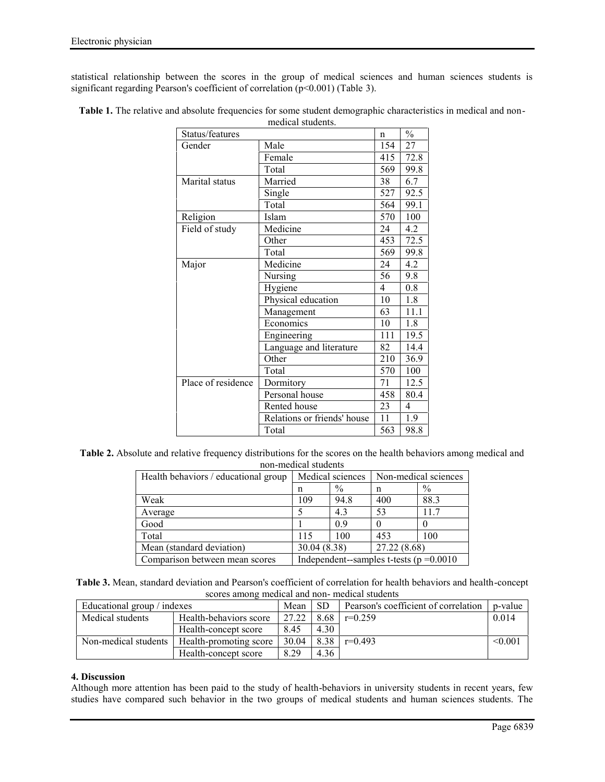statistical relationship between the scores in the group of medical sciences and human sciences students is significant regarding Pearson's coefficient of correlation ( $p$ <0.001) (Table 3).

|                    | meural stuuems.             |              |               |
|--------------------|-----------------------------|--------------|---------------|
| Status/features    |                             | $\mathsf{n}$ | $\frac{0}{0}$ |
| Gender             | Male                        | 154          | 27            |
|                    | Female                      | 415          | 72.8          |
|                    | Total                       | 569          | 99.8          |
| Marital status     | Married                     | 38           | 6.7           |
|                    | Single                      | 527          | 92.5          |
|                    | Total                       | 564          | 99.1          |
| Religion           | Islam                       | 570          | 100           |
| Field of study     | Medicine                    | 24           | 4.2           |
|                    | Other                       | 453          | 72.5          |
|                    | Total                       | 569          | 99.8          |
| Major              | Medicine                    | 24           | 4.2           |
|                    | Nursing                     | 56           | 9.8           |
|                    | Hygiene                     | 4            | 0.8           |
|                    | Physical education          | 10           | 1.8           |
|                    | Management                  | 63           | 11.1          |
|                    | Economics                   | 10           | 1.8           |
|                    | Engineering                 | 111          | 19.5          |
|                    | Language and literature     | 82           | 14.4          |
|                    | Other                       | 210          | 36.9          |
|                    | Total                       | 570          | 100           |
| Place of residence | Dormitory                   | 71           | 12.5          |
|                    | Personal house              | 458          | 80.4          |
|                    | Rented house                | 23           | 4             |
|                    | Relations or friends' house | 11           | 1.9           |
|                    | Total                       | 563          | 98.8          |

**Table 1.** The relative and absolute frequencies for some student demographic characteristics in medical and non medical students.

**Table 2.** Absolute and relative frequency distributions for the scores on the health behaviors among medical and non-medical students

| Health behaviors / educational group | Medical sciences                           |               | Non-medical sciences |      |
|--------------------------------------|--------------------------------------------|---------------|----------------------|------|
|                                      | n                                          | $\frac{0}{0}$ | n                    | $\%$ |
| Weak                                 | 109                                        | 94.8          | 400                  | 88.3 |
| Average                              | 5                                          | 4.3           | 53                   | 11.7 |
| Good                                 |                                            | 09            |                      |      |
| Total                                | 115                                        | 100           | 453                  | 100  |
| Mean (standard deviation)            | 30.04 (8.38)                               |               | 27.22 (8.68)         |      |
| Comparison between mean scores       | Independent-samples t-tests ( $p = 0.0010$ |               |                      |      |

| Table 3. Mean, standard deviation and Pearson's coefficient of correlation for health behaviors and health-concept |  |  |  |  |
|--------------------------------------------------------------------------------------------------------------------|--|--|--|--|
| scores among medical and non-medical students                                                                      |  |  |  |  |

| Educational group / indexes |                        | Mean  | <b>SD</b> | Pearson's coefficient of correlation | p-value |
|-----------------------------|------------------------|-------|-----------|--------------------------------------|---------|
| Medical students            | Health-behaviors score | 27.22 | 8.68      | $r=0.259$                            | 0.014   |
|                             | Health-concept score   | 8.45  | 4.30      |                                      |         |
| Non-medical students        | Health-promoting score | 30.04 | 8.38      | $r=0.493$                            | < 0.001 |
|                             | Health-concept score   | 8.29  | 4.36      |                                      |         |

## **4. Discussion**

Although more attention has been paid to the study of health-behaviors in university students in recent years, few studies have compared such behavior in the two groups of medical students and human sciences students. The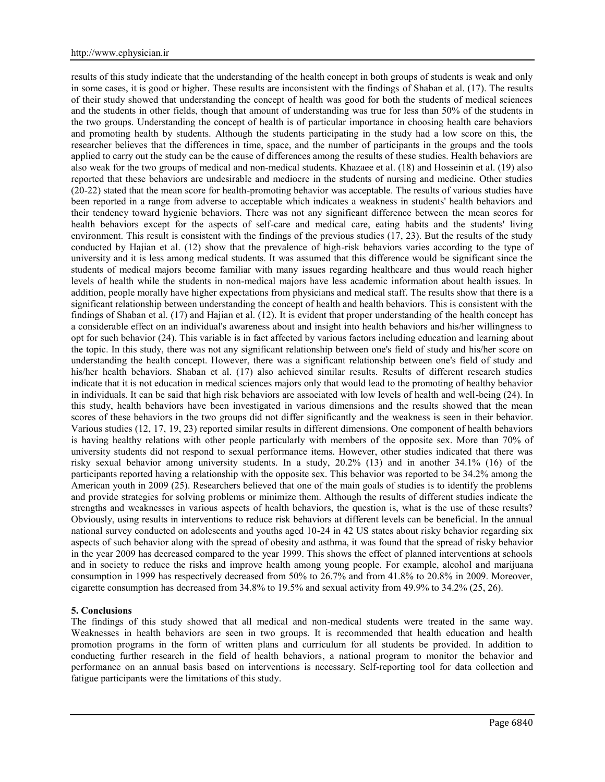results of this study indicate that the understanding of the health concept in both groups of students is weak and only in some cases, it is good or higher. These results are inconsistent with the findings of Shaban et al. (17). The results of their study showed that understanding the concept of health was good for both the students of medical sciences and the students in other fields, though that amount of understanding was true for less than 50% of the students in the two groups. Understanding the concept of health is of particular importance in choosing health care behaviors and promoting health by students. Although the students participating in the study had a low score on this, the researcher believes that the differences in time, space, and the number of participants in the groups and the tools applied to carry out the study can be the cause of differences among the results of these studies. Health behaviors are also weak for the two groups of medical and non-medical students. Khazaee et al. (18) and Hosseinin et al. (19) also reported that these behaviors are undesirable and mediocre in the students of nursing and medicine. Other studies (20-22) stated that the mean score for health-promoting behavior was acceptable. The results of various studies have been reported in a range from adverse to acceptable which indicates a weakness in students' health behaviors and their tendency toward hygienic behaviors. There was not any significant difference between the mean scores for health behaviors except for the aspects of self-care and medical care, eating habits and the students' living environment. This result is consistent with the findings of the previous studies (17, 23). But the results of the study conducted by Hajian et al. (12) show that the prevalence of high-risk behaviors varies according to the type of university and it is less among medical students. It was assumed that this difference would be significant since the students of medical majors become familiar with many issues regarding healthcare and thus would reach higher levels of health while the students in non-medical majors have less academic information about health issues. In addition, people morally have higher expectations from physicians and medical staff. The results show that there is a significant relationship between understanding the concept of health and health behaviors. This is consistent with the findings of Shaban et al. (17) and Hajian et al. (12). It is evident that proper understanding of the health concept has a considerable effect on an individual's awareness about and insight into health behaviors and his/her willingness to opt for such behavior (24). This variable is in fact affected by various factors including education and learning about the topic. In this study, there was not any significant relationship between one's field of study and his/her score on understanding the health concept. However, there was a significant relationship between one's field of study and his/her health behaviors. Shaban et al. (17) also achieved similar results. Results of different research studies indicate that it is not education in medical sciences majors only that would lead to the promoting of healthy behavior in individuals. It can be said that high risk behaviors are associated with low levels of health and well-being (24). In this study, health behaviors have been investigated in various dimensions and the results showed that the mean scores of these behaviors in the two groups did not differ significantly and the weakness is seen in their behavior. Various studies (12, 17, 19, 23) reported similar results in different dimensions. One component of health behaviors is having healthy relations with other people particularly with members of the opposite sex. More than 70% of university students did not respond to sexual performance items. However, other studies indicated that there was risky sexual behavior among university students. In a study, 20.2% (13) and in another 34.1% (16) of the participants reported having a relationship with the opposite sex. This behavior was reported to be 34.2% among the American youth in 2009 (25). Researchers believed that one of the main goals of studies is to identify the problems and provide strategies for solving problems or minimize them. Although the results of different studies indicate the strengths and weaknesses in various aspects of health behaviors, the question is, what is the use of these results? Obviously, using results in interventions to reduce risk behaviors at different levels can be beneficial. In the annual national survey conducted on adolescents and youths aged 10-24 in 42 US states about risky behavior regarding six aspects of such behavior along with the spread of obesity and asthma, it was found that the spread of risky behavior in the year 2009 has decreased compared to the year 1999. This shows the effect of planned interventions at schools and in society to reduce the risks and improve health among young people. For example, alcohol and marijuana consumption in 1999 has respectively decreased from 50% to 26.7% and from 41.8% to 20.8% in 2009. Moreover, cigarette consumption has decreased from 34.8% to 19.5% and sexual activity from 49.9% to 34.2% (25, 26).

### **5. Conclusions**

The findings of this study showed that all medical and non-medical students were treated in the same way. Weaknesses in health behaviors are seen in two groups. It is recommended that health education and health promotion programs in the form of written plans and curriculum for all students be provided. In addition to conducting further research in the field of health behaviors, a national program to monitor the behavior and performance on an annual basis based on interventions is necessary. Self-reporting tool for data collection and fatigue participants were the limitations of this study.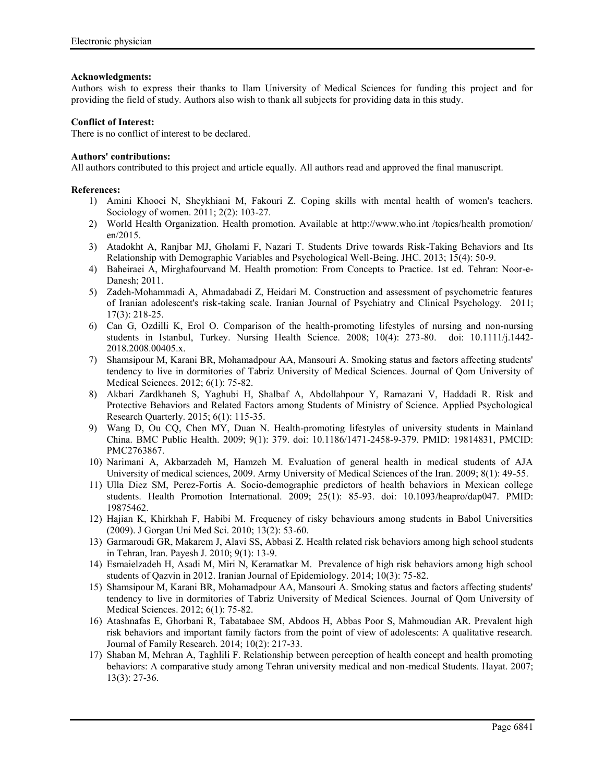## **Acknowledgments:**

Authors wish to express their thanks to Ilam University of Medical Sciences for funding this project and for providing the field of study. Authors also wish to thank all subjects for providing data in this study.

## **Conflict of Interest:**

There is no conflict of interest to be declared.

## **Authors' contributions:**

All authors contributed to this project and article equally. All authors read and approved the final manuscript.

## **References:**

- 1) Amini Khooei N, Sheykhiani M, Fakouri Z. Coping skills with mental health of women's teachers. Sociology of women. 2011; 2(2): 103-27.
- 2) World Health Organization. Health promotion. Available at http://www.who.int /topics/health promotion/ en/2015.
- 3) Atadokht A, Ranjbar MJ, Gholami F, Nazari T. Students Drive towards Risk-Taking Behaviors and Its Relationship with Demographic Variables and Psychological Well-Being. JHC. 2013; 15(4): 50-9.
- 4) Baheiraei A, Mirghafourvand M. Health promotion: From Concepts to Practice. 1st ed. Tehran: Noor-e- Danesh; 2011.
- 5) Zadeh-Mohammadi A, Ahmadabadi Z, Heidari M. Construction and assessment of psychometric features of Iranian adolescent's risk-taking scale. Iranian Journal of Psychiatry and Clinical Psychology. 2011; 17(3): 218-25.
- 6) Can G, Ozdilli K, Erol O. Comparison of the health-promoting lifestyles of nursing and non-nursing students in Istanbul, Turkey. Nursing Health Science. 2008; 10(4): 273-80. doi: 10.1111/j.1442- 2018.2008.00405.x.
- 7) Shamsipour M, Karani BR, Mohamadpour AA, Mansouri A. Smoking status and factors affecting students' tendency to live in dormitories of Tabriz University of Medical Sciences. Journal of Qom University of Medical Sciences. 2012; 6(1): 75-82.
- 8) Akbari Zardkhaneh S, Yaghubi H, Shalbaf A, Abdollahpour Y, Ramazani V, Haddadi R. Risk and Protective Behaviors and Related Factors among Students of Ministry of Science. Applied Psychological Research Quarterly. 2015; 6(1): 115-35.
- 9) Wang D, Ou CQ, Chen MY, Duan N. Health-promoting lifestyles of university students in Mainland China. BMC Public Health. 2009; 9(1): 379. doi: 10.1186/1471-2458-9-379. PMID: 19814831, PMCID: PMC2763867.
- 10) Narimani A, Akbarzadeh M, Hamzeh M. Evaluation of general health in medical students of AJA University of medical sciences, 2009. Army University of Medical Sciences of the Iran. 2009; 8(1): 49-55.
- 11) Ulla Diez SM, Perez-Fortis A. Socio-demographic predictors of health behaviors in Mexican college students. Health Promotion International. 2009; 25(1): 85-93. doi: 10.1093/heapro/dap047. PMID: 19875462.
- 12) Hajian K, Khirkhah F, Habibi M. Frequency of risky behaviours among students in Babol Universities (2009). J Gorgan Uni Med Sci. 2010; 13(2): 53-60.
- 13) Garmaroudi GR, Makarem J, Alavi SS, Abbasi Z. Health related risk behaviors among high school students in Tehran, Iran. Payesh J. 2010; 9(1): 13-9.
- 14) Esmaielzadeh H, Asadi M, Miri N, Keramatkar M. Prevalence of high risk behaviors among high school students of Qazvin in 2012. Iranian Journal of Epidemiology. 2014; 10(3): 75-82.
- 15) Shamsipour M, Karani BR, Mohamadpour AA, Mansouri A. Smoking status and factors affecting students' tendency to live in dormitories of Tabriz University of Medical Sciences. Journal of Qom University of Medical Sciences. 2012; 6(1): 75-82.
- 16) Atashnafas E, Ghorbani R, Tabatabaee SM, Abdoos H, Abbas Poor S, Mahmoudian AR. Prevalent high risk behaviors and important family factors from the point of view of adolescents: A qualitative research. Journal of Family Research. 2014; 10(2): 217-33.
- 17) Shaban M, Mehran A, Taghlili F. Relationship between perception of health concept and health promoting behaviors: A comparative study among Tehran university medical and non-medical Students. Hayat. 2007; 13(3): 27-36.